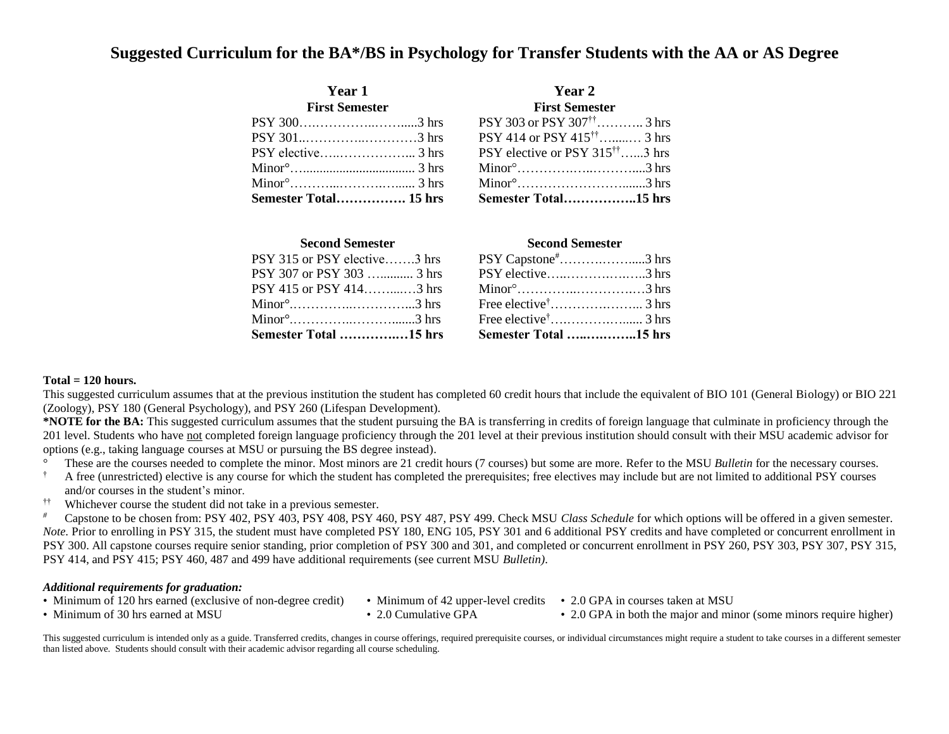# **Suggested Curriculum for the BA\*/BS in Psychology for Transfer Students with the AA or AS Degree**

| Year 1<br><b>First Semester</b> |  | Year 2<br><b>First Semester</b>             |  |
|---------------------------------|--|---------------------------------------------|--|
|                                 |  |                                             |  |
| $PSY 301$ 3 hrs                 |  | $PSY$ 414 or PSY 415 <sup>††</sup> 3 hrs    |  |
|                                 |  | PSY elective or PSY 315 <sup>t†</sup> 3 hrs |  |
|                                 |  |                                             |  |
|                                 |  | $Minor^{\circ}$ 3 hrs                       |  |
| Semester Total 15 hrs           |  | Semester Total15 hrs                        |  |

# **First Semester First Semester**  $SY 303$  or PSY  $307^{\dagger\dagger}$ ………... 3 hrs  $SY$  elective or PSY 315<sup>††</sup>…….3 hrs Minor°….................................. 3 hrs Minor°………….…..………....3 hrs Minor°………...……….…...... 3 hrs Minor°…………………….......3 hrs **Semester Total……………. 15 hrs Semester Total……………..15 hrs**

**Year 1 Year 2**

| <b>Second Semester</b>       |  |
|------------------------------|--|
| PSY 315 or PSY elective3 hrs |  |
| PSY 307 or PSY 303  3 hrs    |  |
| PSY 415 or PSY 4143 hrs      |  |
| $Minor^{\circ}$ 3 hrs        |  |
| $Minor^{\circ}$ 3 hrs        |  |
| <b>Semester Total 15 hrs</b> |  |
|                              |  |

# **Second Semester Second Semester**

| <b>Semester Total 15 hrs</b> |                                   |  |
|------------------------------|-----------------------------------|--|
|                              |                                   |  |
| Minor <sup>o</sup> 3 hrs     |                                   |  |
| PSY 415 or PSY 4143 hrs      | $Minor^{\circ}$ 3 hrs             |  |
| PSY 307 or PSY 303  3 hrs    | $PSY$ elective3 hrs               |  |
| PSY 315 or PSY elective3 hrs | $PSY$ Capstone <sup>#</sup> 3 hrs |  |

# **Total = 120 hours.**

This suggested curriculum assumes that at the previous institution the student has completed 60 credit hours that include the equivalent of BIO 101 (General Biology) or BIO 221 (Zoology), PSY 180 (General Psychology), and PSY 260 (Lifespan Development).

**\*NOTE for the BA:** This suggested curriculum assumes that the student pursuing the BA is transferring in credits of foreign language that culminate in proficiency through the 201 level. Students who have not completed foreign language proficiency through the 201 level at their previous institution should consult with their MSU academic advisor for options (e.g., taking language courses at MSU or pursuing the BS degree instead).

° These are the courses needed to complete the minor. Most minors are 21 credit hours (7 courses) but some are more. Refer to the MSU *Bulletin* for the necessary courses.

 $\uparrow$  A free (unrestricted) elective is any course for which the student has completed the prerequisites; free electives may include but are not limited to additional PSY courses and/or courses in the student's minor.

<sup>††</sup> Whichever course the student did not take in a previous semester.<br> $\frac{f}{f}$  Canstone to be chosen from: PSV 402 PSV 403 PSV 408 PSV 4

*#* Capstone to be chosen from: PSY 402, PSY 403, PSY 408, PSY 460, PSY 487, PSY 499. Check MSU *Class Schedule* for which options will be offered in a given semester. *Note*. Prior to enrolling in PSY 315, the student must have completed PSY 180, ENG 105, PSY 301 and 6 additional PSY credits and have completed or concurrent enrollment in PSY 300. All capstone courses require senior standing, prior completion of PSY 300 and 301, and completed or concurrent enrollment in PSY 260, PSY 303, PSY 307, PSY 315, PSY 414, and PSY 415; PSY 460, 487 and 499 have additional requirements (see current MSU *Bulletin)*.

# *Additional requirements for graduation:*

- Minimum of 120 hrs earned (exclusive of non-degree credit) Minimum of 42 upper-level credits 2.0 GPA in courses taken at MSU
- -
- 
- Minimum of 30 hrs earned at MSU 2.0 Cumulative GPA 2.0 GPA in both the major and minor (some minors require higher)

This suggested curriculum is intended only as a guide. Transferred credits, changes in course offerings, required prerequisite courses, or individual circumstances might require a student to take courses in a different sem than listed above. Students should consult with their academic advisor regarding all course scheduling.